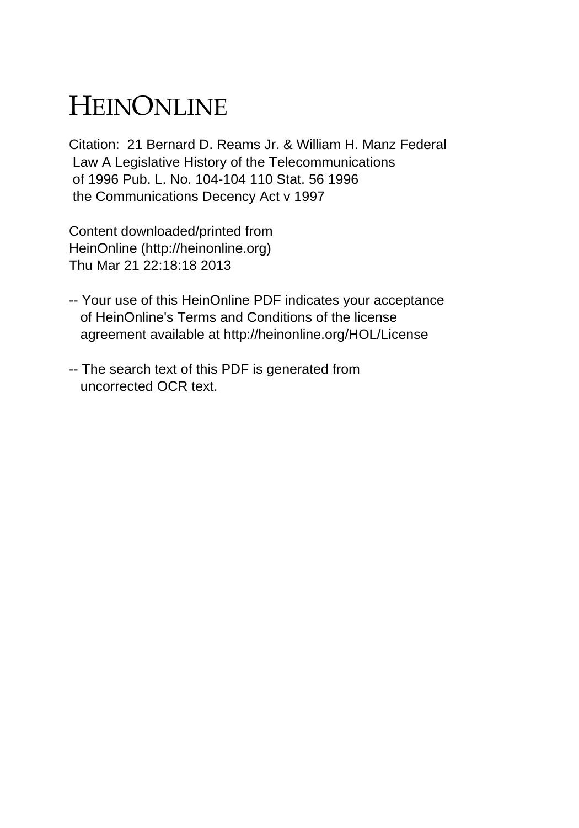## HEINONLINE

Citation: 21 Bernard D. Reams Jr. & William H. Manz Federal Law A Legislative History of the Telecommunications of 1996 Pub. L. No. 104-104 110 Stat. 56 1996 the Communications Decency Act v 1997

Content downloaded/printed from HeinOnline (http://heinonline.org) Thu Mar 21 22:18:18 2013

- -- Your use of this HeinOnline PDF indicates your acceptance of HeinOnline's Terms and Conditions of the license agreement available at http://heinonline.org/HOL/License
- -- The search text of this PDF is generated from uncorrected OCR text.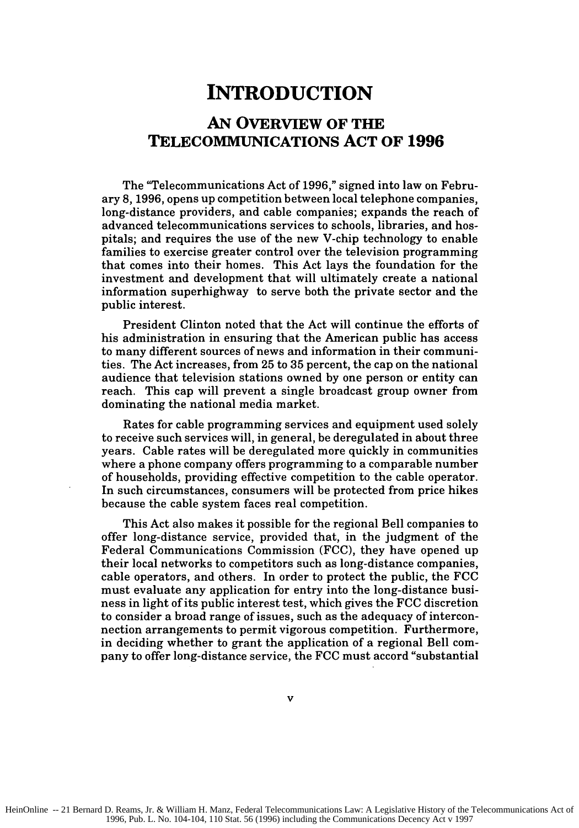## **INTRODUCTION**

## **AN OVERVIEW OF THE TELECOMMUNICATIONS ACT OF 1996**

The "Telecommunications Act of **1996,"** signed into law on February **8, 1996,** opens up competition between local telephone companies, long-distance providers, and cable companies; expands the reach of advanced telecommunications services to schools, libraries, and hospitals; and requires the use of the new V-chip technology to enable families to exercise greater control over the television programming that comes into their homes. This Act lays the foundation for the investment and development that will ultimately create a national information superhighway to serve both the private sector and the public interest.

President Clinton noted that the Act will continue the efforts of his administration in ensuring that the American public has access to many different sources of news and information in their communities. The Act increases, from **25** to **35** percent, the cap on the national audience that television stations owned **by** one person or entity can reach. This cap will prevent a single broadcast group owner from dominating the national media market.

Rates for cable programming services and equipment used solely to receive such services will, in general, be deregulated in about three years. Cable rates will be deregulated more quickly in communities where a phone company offers programming to a comparable number of households, providing effective competition to the cable operator. In such circumstances, consumers will be protected from price hikes because the cable system faces real competition.

This Act also makes it possible for the regional Bell companies to offer long-distance service, provided that, in the judgment of the Federal Communications Commission **(FCC),** they have opened up their local networks to competitors such as long-distance companies, cable operators, and others. In order to protect the public, the **FCC** must evaluate any application for entry into the long-distance business in light of its public interest test, which gives the **FCC** discretion to consider a broad range of issues, such as the adequacy of interconnection arrangements to permit vigorous competition. Furthermore, in deciding whether to grant the application of a regional Bell company to offer long-distance service, the **FCC** must accord "substantial